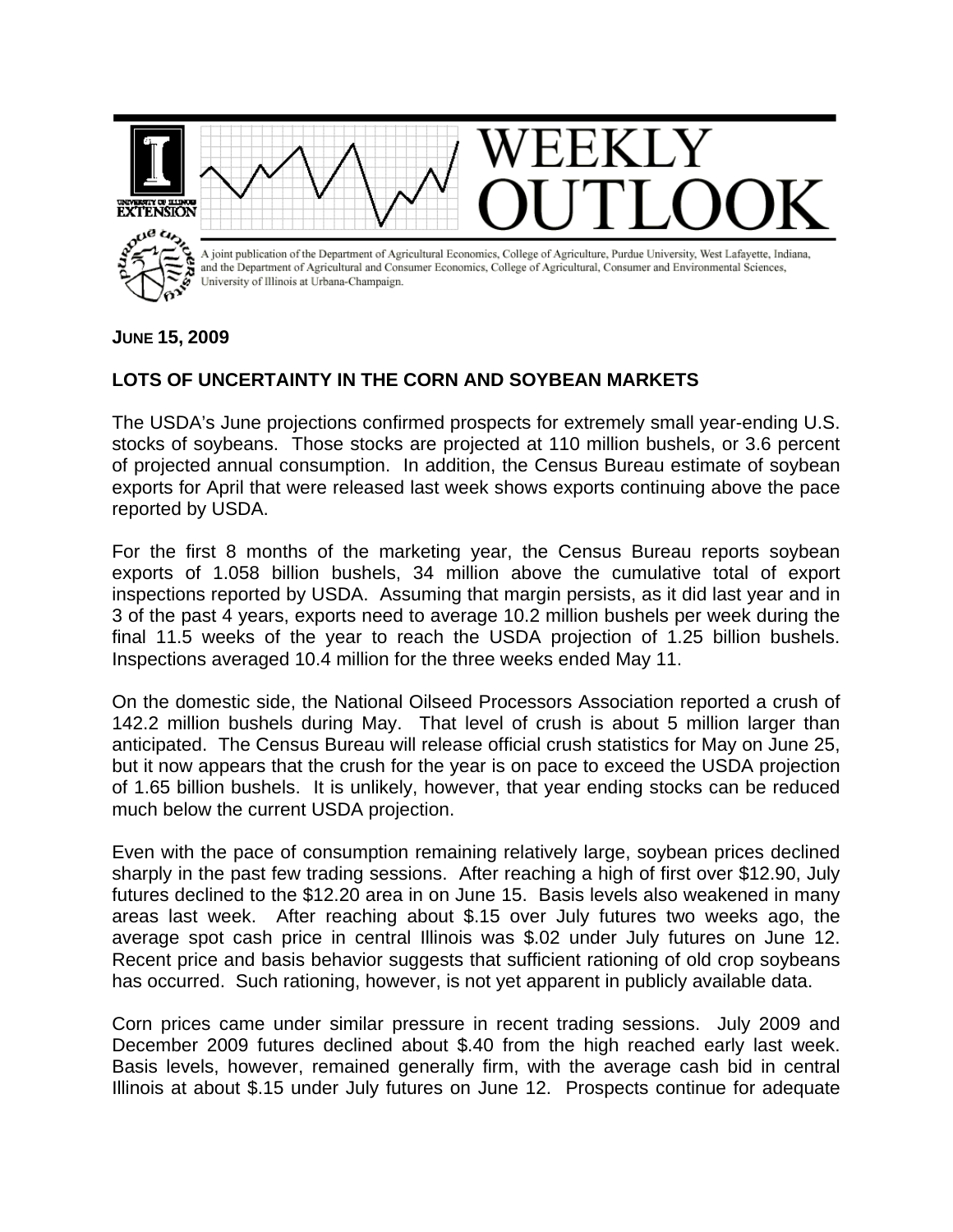

## **JUNE 15, 2009**

## **LOTS OF UNCERTAINTY IN THE CORN AND SOYBEAN MARKETS**

The USDA's June projections confirmed prospects for extremely small year-ending U.S. stocks of soybeans. Those stocks are projected at 110 million bushels, or 3.6 percent of projected annual consumption. In addition, the Census Bureau estimate of soybean exports for April that were released last week shows exports continuing above the pace reported by USDA.

For the first 8 months of the marketing year, the Census Bureau reports soybean exports of 1.058 billion bushels, 34 million above the cumulative total of export inspections reported by USDA. Assuming that margin persists, as it did last year and in 3 of the past 4 years, exports need to average 10.2 million bushels per week during the final 11.5 weeks of the year to reach the USDA projection of 1.25 billion bushels. Inspections averaged 10.4 million for the three weeks ended May 11.

On the domestic side, the National Oilseed Processors Association reported a crush of 142.2 million bushels during May. That level of crush is about 5 million larger than anticipated. The Census Bureau will release official crush statistics for May on June 25, but it now appears that the crush for the year is on pace to exceed the USDA projection of 1.65 billion bushels. It is unlikely, however, that year ending stocks can be reduced much below the current USDA projection.

Even with the pace of consumption remaining relatively large, soybean prices declined sharply in the past few trading sessions. After reaching a high of first over \$12.90, July futures declined to the \$12.20 area in on June 15. Basis levels also weakened in many areas last week. After reaching about \$.15 over July futures two weeks ago, the average spot cash price in central Illinois was \$.02 under July futures on June 12. Recent price and basis behavior suggests that sufficient rationing of old crop soybeans has occurred. Such rationing, however, is not yet apparent in publicly available data.

Corn prices came under similar pressure in recent trading sessions. July 2009 and December 2009 futures declined about \$.40 from the high reached early last week. Basis levels, however, remained generally firm, with the average cash bid in central Illinois at about \$.15 under July futures on June 12. Prospects continue for adequate